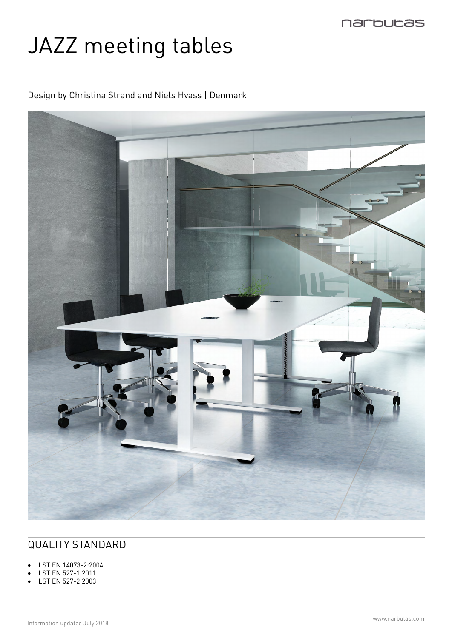

# JAZZ meeting tables

Design by Christina Strand and Niels Hvass | Denmark



# QUALITY STANDARD

- LST EN 14073-2:2004
- LST EN 527-1:2011
- LST EN 527-2:2003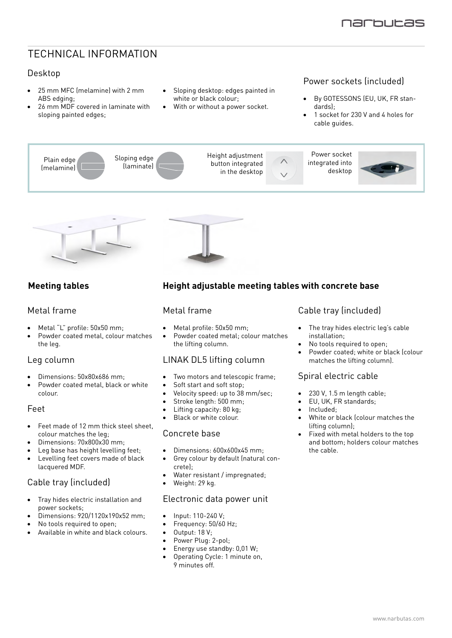# TECHNICAL INFORMATION

#### Desktop

- • 25 mm MFC (melamine) with 2 mm ABS edging;
- • 26 mm MDF covered in laminate with sloping painted edges;
- Sloping desktop: edges painted in white or black colour;
- With or without a power socket.

#### Power sockets (included)

- By GOTESSONS (EU, UK, FR standards);
- 1 socket for 230 V and 4 holes for cable guides.





#### **Meeting tables**

#### Metal frame

- Metal "L" profile: 50x50 mm;
- Powder coated metal, colour matches the leg.

#### Leg column

- Dimensions: 50x80x686 mm;
- Powder coated metal, black or white colour.

#### Feet

- Feet made of 12 mm thick steel sheet. colour matches the leg;
- Dimensions: 70x800x30 mm;
- Leg base has height levelling feet;
- Levelling feet covers made of black lacquered MDF.

## Cable tray (included)

- Tray hides electric installation and power sockets;
- $\overline{D}$  Dimensions: 920/1120x190x52 mm;
- No tools required to open;
- Available in white and black colours.

## **Height adjustable meeting tables with concrete base**

#### Metal frame

- • Metal profile: 50x50 mm;
- Powder coated metal; colour matches the lifting column.

#### LINAK DL5 lifting column

- Two motors and telescopic frame;
- Soft start and soft stop;
- Velocity speed: up to 38 mm/sec;
- Stroke length: 500 mm;
- Lifting capacity: 80 kg;
- Black or white colour.

#### Concrete base

- Dimensions: 600x600x45 mm;
- Grey colour by default (natural concrete);
- Water resistant / impregnated;
- Weight: 29 kg.

#### Electronic data power unit

- • Input: 110-240 V;
- Frequency: 50/60 Hz;
- Output: 18 V;
- Power Plug: 2-pol;
- Energy use standby:  $0.01$  W;
- Operating Cycle: 1 minute on, 9 minutes off.

#### Cable tray (included)

- • The tray hides electric leg's cable installation;
- No tools required to open;
- Powder coated; white or black (colour matches the lifting column).

#### Spiral electric cable

- $230$  V,  $1.5$  m length cable;
- EU, UK, FR standards;
- • Included;
- White or black (colour matches the lifting column);
- Fixed with metal holders to the top and bottom; holders colour matches the cable.